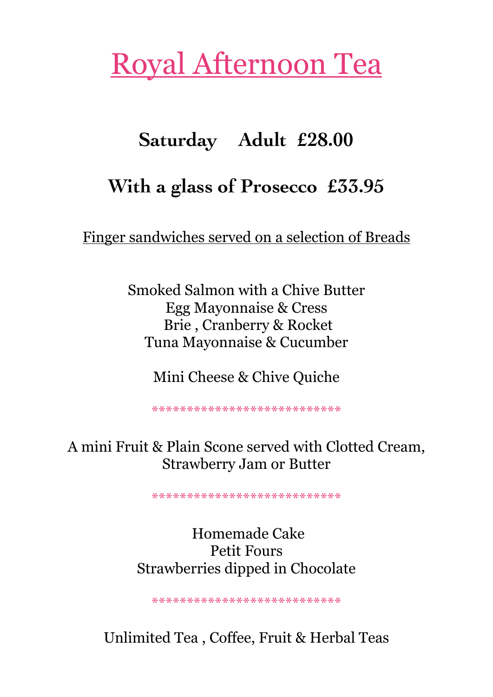## Royal Afternoon Tea

## **Saturday Adult £28.00**

## **With a glass of Prosecco £33.95**

Finger sandwiches served on a selection of Breads

Smoked Salmon with a Chive Butter Egg Mayonnaise & Cress Brie , Cranberry & Rocket Tuna Mayonnaise & Cucumber

Mini Cheese & Chive Quiche

\*\*\*\*\*\*\*\*\*\*\*\*\*\*\*\*\*\*\*\*\*\*\*\*\*\*\*

A mini Fruit & Plain Scone served with Clotted Cream, Strawberry Jam or Butter

\*\*\*\*\*\*\*\*\*\*\*\*\*\*\*\*\*\*\*\*\*\*\*\*\*\*\*

## Homemade Cake Petit Fours Strawberries dipped in Chocolate

\*\*\*\*\*\*\*\*\*\*\*\*\*\*\*\*\*\*\*\*\*\*\*\*\*\*\*

Unlimited Tea , Coffee, Fruit & Herbal Teas